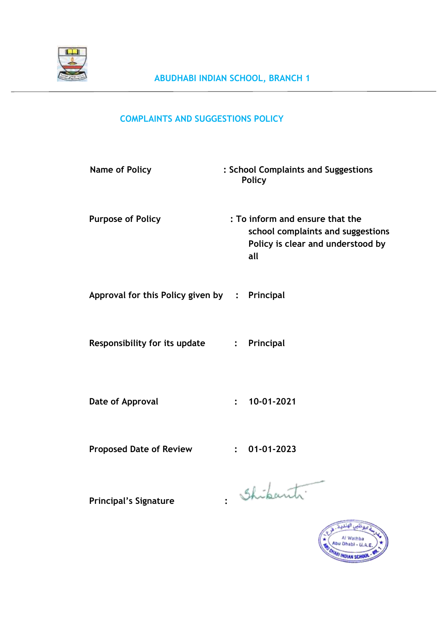

# **COMPLAINTS AND SUGGESTIONS POLICY**

| <b>Name of Policy</b>                         |                | : School Complaints and Suggestions<br><b>Policy</b>                                                             |
|-----------------------------------------------|----------------|------------------------------------------------------------------------------------------------------------------|
| <b>Purpose of Policy</b>                      |                | : To inform and ensure that the<br>school complaints and suggestions<br>Policy is clear and understood by<br>all |
| Approval for this Policy given by : Principal |                |                                                                                                                  |
| Responsibility for its update                 | $\ddot{\cdot}$ | Principal                                                                                                        |
| Date of Approval                              | $\ddot{\cdot}$ | 10-01-2021                                                                                                       |
| <b>Proposed Date of Review</b>                |                | 01-01-2023                                                                                                       |

Principal's Signature : Shikanti

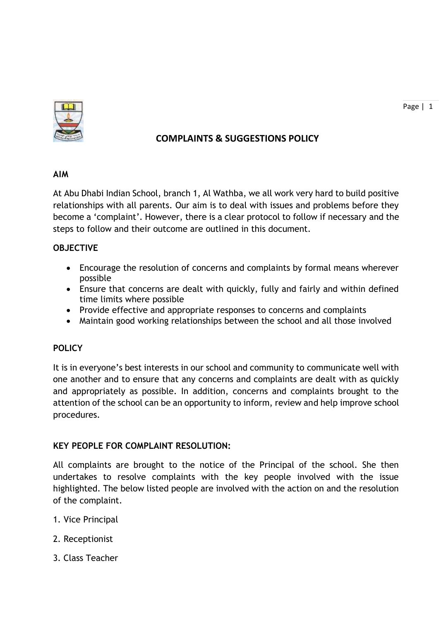

# **COMPLAINTS & SUGGESTIONS POLICY**

At Abu Dhabi Indian School, branch 1, Al Wathba, we all work very hard to build positive relationships with all parents. Our aim is to deal with issues and problems before they become a 'complaint'. However, there is a clear protocol to follow if necessary and the steps to follow and their outcome are outlined in this document.

# **OBJECTIVE**

- Encourage the resolution of concerns and complaints by formal means wherever possible
- Ensure that concerns are dealt with quickly, fully and fairly and within defined time limits where possible
- Provide effective and appropriate responses to concerns and complaints
- Maintain good working relationships between the school and all those involved

# **POLICY**

It is in everyone's best interests in our school and community to communicate well with one another and to ensure that any concerns and complaints are dealt with as quickly and appropriately as possible. In addition, concerns and complaints brought to the attention of the school can be an opportunity to inform, review and help improve school procedures.

# **KEY PEOPLE FOR COMPLAINT RESOLUTION:**

All complaints are brought to the notice of the Principal of the school. She then undertakes to resolve complaints with the key people involved with the issue highlighted. The below listed people are involved with the action on and the resolution of the complaint.

- 1. Vice Principal
- 2. Receptionist
- 3. Class Teacher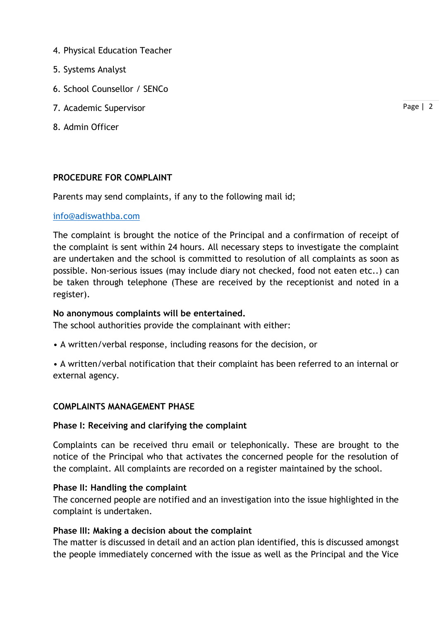- 4. Physical Education Teacher
- 5. Systems Analyst
- 6. School Counsellor / SENCo
- 7. Academic Supervisor
- 8. Admin Officer

# **PROCEDURE FOR COMPLAINT**

Parents may send complaints, if any to the following mail id;

### [info@adiswathba.com](mailto:info@adiswathba.com)

The complaint is brought the notice of the Principal and a confirmation of receipt of the complaint is sent within 24 hours. All necessary steps to investigate the complaint are undertaken and the school is committed to resolution of all complaints as soon as possible. Non-serious issues (may include diary not checked, food not eaten etc..) can be taken through telephone (These are received by the receptionist and noted in a register).

## **No anonymous complaints will be entertained.**

The school authorities provide the complainant with either:

- A written/verbal response, including reasons for the decision, or
- A written/verbal notification that their complaint has been referred to an internal or external agency.

# **COMPLAINTS MANAGEMENT PHASE**

#### **Phase I: Receiving and clarifying the complaint**

Complaints can be received thru email or telephonically. These are brought to the notice of the Principal who that activates the concerned people for the resolution of the complaint. All complaints are recorded on a register maintained by the school.

#### **Phase II: Handling the complaint**

The concerned people are notified and an investigation into the issue highlighted in the complaint is undertaken.

#### **Phase III: Making a decision about the complaint**

The matter is discussed in detail and an action plan identified, this is discussed amongst the people immediately concerned with the issue as well as the Principal and the Vice

Page | 2